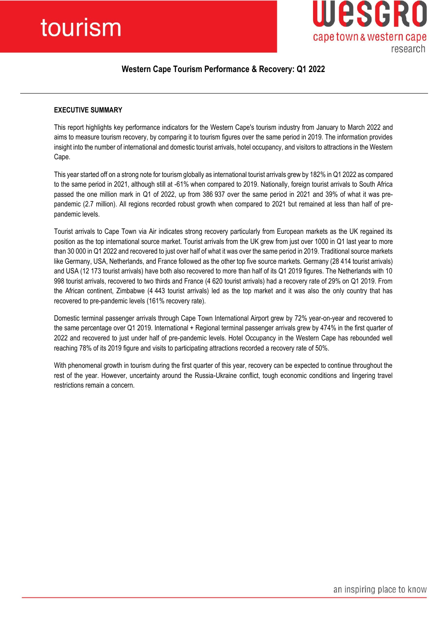# tourism



# **Western Cape Tourism Performance & Recovery: Q1 2022**

# **EXECUTIVE SUMMARY**

This report highlights key performance indicators for the Western Cape's tourism industry from January to March 2022 and aims to measure tourism recovery, by comparing it to tourism figures over the same period in 2019. The information provides insight into the number of international and domestic tourist arrivals, hotel occupancy, and visitors to attractions in the Western Cape.

This year started off on a strong note for tourism globally as international tourist arrivals grew by 182% in Q1 2022 as compared to the same period in 2021, although still at -61% when compared to 2019. Nationally, foreign tourist arrivals to South Africa passed the one million mark in Q1 of 2022, up from 386 937 over the same period in 2021 and 39% of what it was prepandemic (2.7 million). All regions recorded robust growth when compared to 2021 but remained at less than half of prepandemic levels.

Tourist arrivals to Cape Town via Air indicates strong recovery particularly from European markets as the UK regained its position as the top international source market. Tourist arrivals from the UK grew from just over 1000 in Q1 last year to more than 30 000 in Q1 2022 and recovered to just over half of what it was over the same period in 2019. Traditional source markets like Germany, USA, Netherlands, and France followed as the other top five source markets. Germany (28 414 tourist arrivals) and USA (12 173 tourist arrivals) have both also recovered to more than half of its Q1 2019 figures. The Netherlands with 10 998 tourist arrivals, recovered to two thirds and France (4 620 tourist arrivals) had a recovery rate of 29% on Q1 2019. From the African continent, Zimbabwe (4 443 tourist arrivals) led as the top market and it was also the only country that has recovered to pre-pandemic levels (161% recovery rate).

Domestic terminal passenger arrivals through Cape Town International Airport grew by 72% year-on-year and recovered to the same percentage over Q1 2019. International + Regional terminal passenger arrivals grew by 474% in the first quarter of 2022 and recovered to just under half of pre-pandemic levels. Hotel Occupancy in the Western Cape has rebounded well reaching 78% of its 2019 figure and visits to participating attractions recorded a recovery rate of 50%.

With phenomenal growth in tourism during the first quarter of this year, recovery can be expected to continue throughout the rest of the year. However, uncertainty around the Russia-Ukraine conflict, tough economic conditions and lingering travel restrictions remain a concern.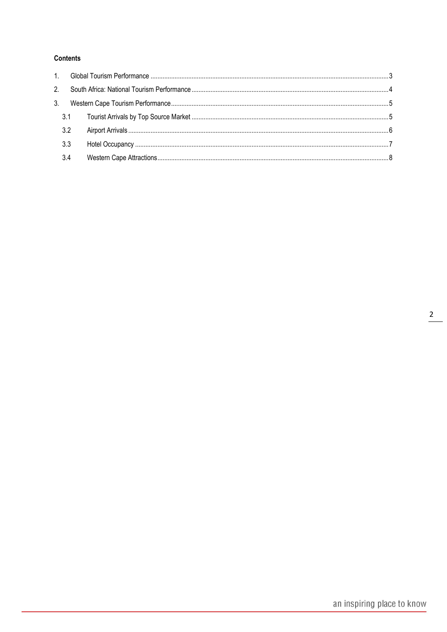# **Contents**

| 3.2 |  |
|-----|--|
| 3.3 |  |
| 3.4 |  |
|     |  |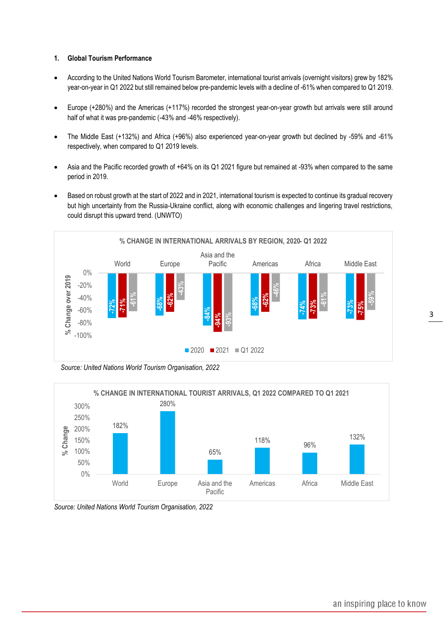#### <span id="page-2-0"></span>**1. Global Tourism Performance**

- According to the United Nations World Tourism Barometer, international tourist arrivals (overnight visitors) grew by 182% year-on-year in Q1 2022 but still remained below pre-pandemic levels with a decline of -61% when compared to Q1 2019.
- Europe (+280%) and the Americas (+117%) recorded the strongest year-on-year growth but arrivals were still around half of what it was pre-pandemic (-43% and -46% respectively).
- The Middle East (+132%) and Africa (+96%) also experienced year-on-year growth but declined by -59% and -61% respectively, when compared to Q1 2019 levels.
- Asia and the Pacific recorded growth of +64% on its Q1 2021 figure but remained at -93% when compared to the same period in 2019.
- Based on robust growth at the start of 2022 and in 2021, international tourism is expected to continue its gradual recovery but high uncertainty from the Russia-Ukraine conflict, along with economic challenges and lingering travel restrictions, could disrupt this upward trend. (UNWTO)



 *Source: United Nations World Tourism Organisation, 2022*



*Source: United Nations World Tourism Organisation, 2022*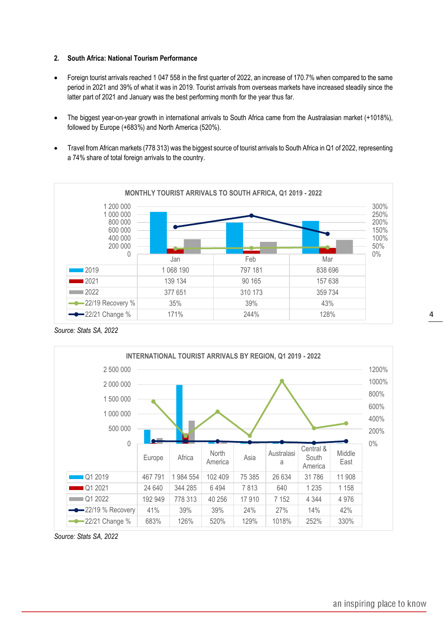## <span id="page-3-0"></span>**2. South Africa: National Tourism Performance**

- Foreign tourist arrivals reached 1 047 558 in the first quarter of 2022, an increase of 170.7% when compared to the same period in 2021 and 39% of what it was in 2019. Tourist arrivals from overseas markets have increased steadily since the latter part of 2021 and January was the best performing month for the year thus far.
- The biggest year-on-year growth in international arrivals to South Africa came from the Australasian market (+1018%), followed by Europe (+683%) and North America (520%).
- Travel from African markets (778 313) was the biggest source of tourist arrivals to South Africa in Q1 of 2022, representing a 74% share of total foreign arrivals to the country.



*Source: Stats SA, 2022*



*Source: Stats SA, 2022*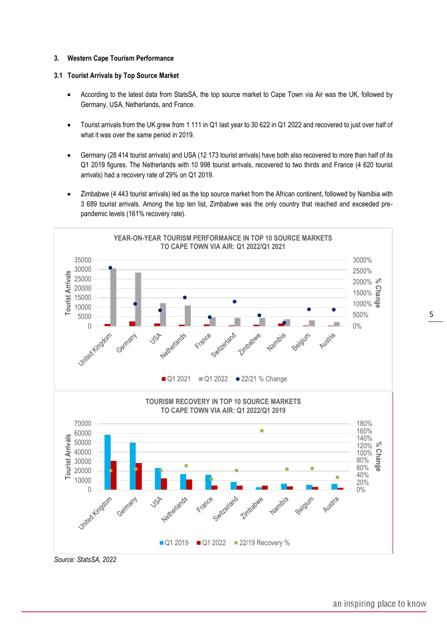#### <span id="page-4-0"></span>**3. Western Cape Tourism Performance**

#### <span id="page-4-1"></span>**3.1 Tourist Arrivals by Top Source Market**

- According to the latest data from StatsSA, the top source market to Cape Town via Air was the UK, followed by Germany, USA, Netherlands, and France.
- Tourist arrivals from the UK grew from 1 111 in Q1 last year to 30 622 in Q1 2022 and recovered to just over half of what it was over the same period in 2019.
- Germany (28 414 tourist arrivals) and USA (12 173 tourist arrivals) have both also recovered to more than half of its Q1 2019 figures. The Netherlands with 10 998 tourist arrivals, recovered to two thirds and France (4 620 tourist arrivals) had a recovery rate of 29% on Q1 2019.
- Zimbabwe (4 443 tourist arrivals) led as the top source market from the African continent, followed by Namibia with 3 689 tourist arrivals. Among the top ten list, Zimbabwe was the only country that reached and exceeded prepandemic levels (161% recovery rate).



an inspiring place to know

5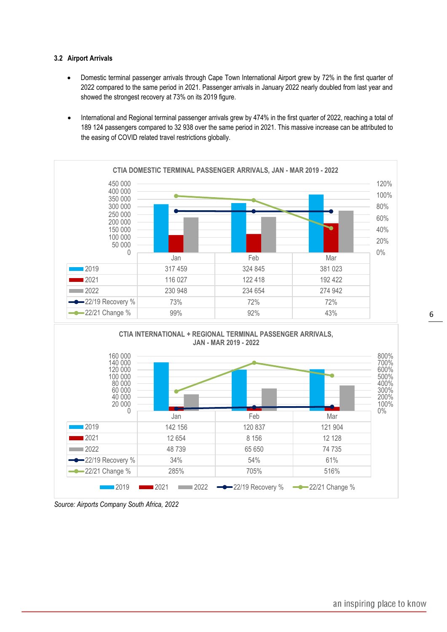## <span id="page-5-0"></span>**3.2 Airport Arrivals**

- Domestic terminal passenger arrivals through Cape Town International Airport grew by 72% in the first quarter of 2022 compared to the same period in 2021. Passenger arrivals in January 2022 nearly doubled from last year and showed the strongest recovery at 73% on its 2019 figure.
- International and Regional terminal passenger arrivals grew by 474% in the first quarter of 2022, reaching a total of 189 124 passengers compared to 32 938 over the same period in 2021. This massive increase can be attributed to the easing of COVID related travel restrictions globally.





*Source: Airports Company South Africa, 2022*

0%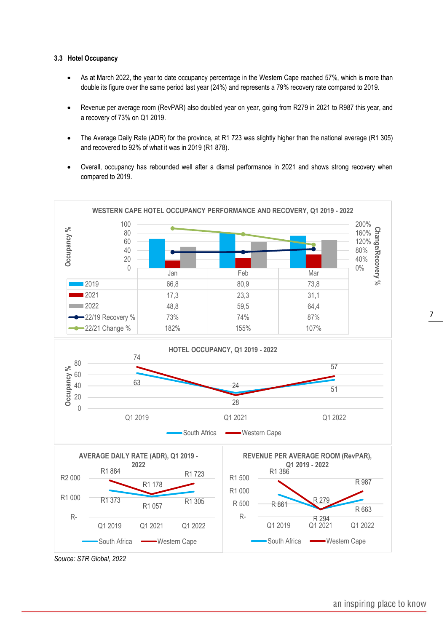#### <span id="page-6-0"></span>**3.3 Hotel Occupancy**

- As at March 2022, the year to date occupancy percentage in the Western Cape reached 57%, which is more than double its figure over the same period last year (24%) and represents a 79% recovery rate compared to 2019.
- Revenue per average room (RevPAR) also doubled year on year, going from R279 in 2021 to R987 this year, and a recovery of 73% on Q1 2019.
- The Average Daily Rate (ADR) for the province, at R1 723 was slightly higher than the national average (R1 305) and recovered to 92% of what it was in 2019 (R1 878).
- Overall, occupancy has rebounded well after a dismal performance in 2021 and shows strong recovery when compared to 2019.



*Source: STR Global, 2022*